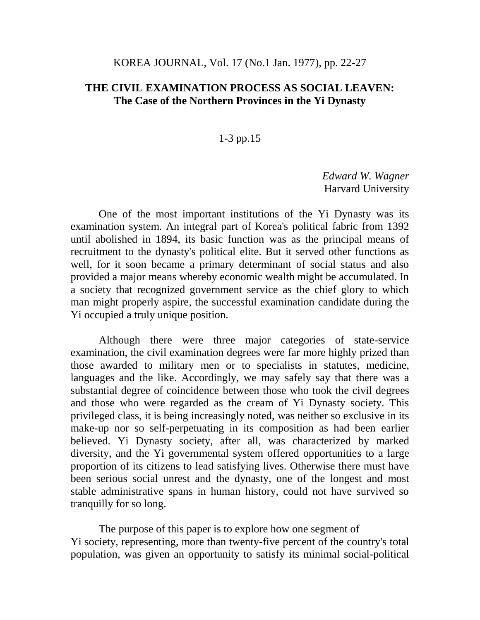## KOREA JOURNAL, Vol. 17 (No.1 Jan. 1977), pp. 22-27

## **THE CIVIL EXAMINATION PROCESS AS SOCIAL LEAVEN: The Case of the Northern Provinces in the Yi Dynasty**

## 1-3 pp.15

*Edward W. Wagner* Harvard University

One of the most important institutions of the Yi Dynasty was its examination system. An integral part of Korea's political fabric from 1392 until abolished in 1894, its basic function was as the principal means of recruitment to the dynasty's political elite. But it served other functions as well, for it soon became a primary determinant of social status and also provided a major means whereby economic wealth might be accumulated. In a society that recognized government service as the chief glory to which man might properly aspire, the successful examination candidate during the Yi occupied a truly unique position.

Although there were three major categories of state-service examination, the civil examination degrees were far more highly prized than those awarded to military men or to specialists in statutes, medicine, languages and the like. Accordingly, we may safely say that there was a substantial degree of coincidence between those who took the civil degrees and those who were regarded as the cream of Yi Dynasty society. This privileged class, it is being increasingly noted, was neither so exclusive in its make-up nor so self-perpetuating in its composition as had been earlier believed. Yi Dynasty society, after all, was characterized by marked diversity, and the Yi governmental system offered opportunities to a large proportion of its citizens to lead satisfying lives. Otherwise there must have been serious social unrest and the dynasty, one of the longest and most stable administrative spans in human history, could not have survived so tranquilly for so long.

The purpose of this paper is to explore how one segment of Yi society, representing, more than twenty-five percent of the country's total population, was given an opportunity to satisfy its minimal social-political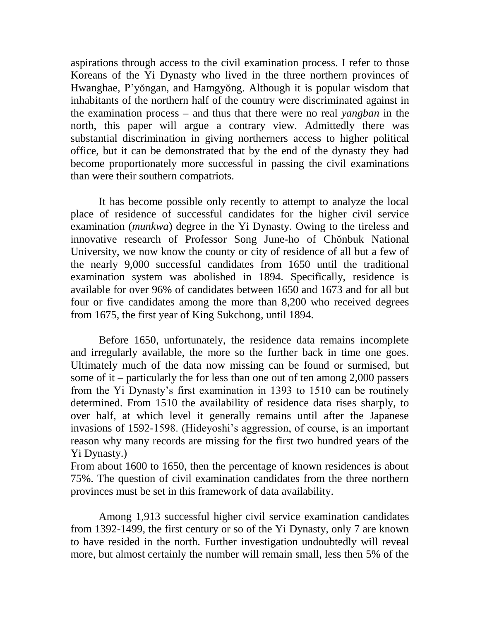aspirations through access to the civil examination process. I refer to those Koreans of the Yi Dynasty who lived in the three northern provinces of Hwanghae, P'yŏngan, and Hamgyŏng. Although it is popular wisdom that inhabitants of the northern half of the country were discriminated against in the examination process **–** and thus that there were no real *yangban* in the north, this paper will argue a contrary view. Admittedly there was substantial discrimination in giving northerners access to higher political office, but it can be demonstrated that by the end of the dynasty they had become proportionately more successful in passing the civil examinations than were their southern compatriots.

It has become possible only recently to attempt to analyze the local place of residence of successful candidates for the higher civil service examination (*munkwa*) degree in the Yi Dynasty. Owing to the tireless and innovative research of Professor Song June-ho of Chŏnbuk National University, we now know the county or city of residence of all but a few of the nearly 9,000 successful candidates from 1650 until the traditional examination system was abolished in 1894. Specifically, residence is available for over 96% of candidates between 1650 and 1673 and for all but four or five candidates among the more than 8,200 who received degrees from 1675, the first year of King Sukchong, until 1894.

Before 1650, unfortunately, the residence data remains incomplete and irregularly available, the more so the further back in time one goes. Ultimately much of the data now missing can be found or surmised, but some of it – particularly the for less than one out of ten among 2,000 passers from the Yi Dynasty's first examination in 1393 to 1510 can be routinely determined. From 1510 the availability of residence data rises sharply, to over half, at which level it generally remains until after the Japanese invasions of 1592-1598. (Hideyoshi's aggression, of course, is an important reason why many records are missing for the first two hundred years of the Yi Dynasty.)

From about 1600 to 1650, then the percentage of known residences is about 75%. The question of civil examination candidates from the three northern provinces must be set in this framework of data availability.

Among 1,913 successful higher civil service examination candidates from 1392-1499, the first century or so of the Yi Dynasty, only 7 are known to have resided in the north. Further investigation undoubtedly will reveal more, but almost certainly the number will remain small, less then 5% of the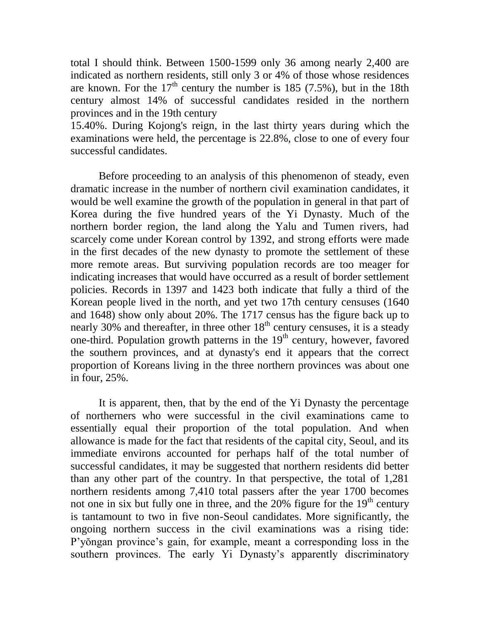total I should think. Between 1500-1599 only 36 among nearly 2,400 are indicated as northern residents, still only 3 or 4% of those whose residences are known. For the  $17<sup>th</sup>$  century the number is 185 (7.5%), but in the 18th century almost 14% of successful candidates resided in the northern provinces and in the 19th century

15.40%. During Kojong's reign, in the last thirty years during which the examinations were held, the percentage is 22.8%, close to one of every four successful candidates.

Before proceeding to an analysis of this phenomenon of steady, even dramatic increase in the number of northern civil examination candidates, it would be well examine the growth of the population in general in that part of Korea during the five hundred years of the Yi Dynasty. Much of the northern border region, the land along the Yalu and Tumen rivers, had scarcely come under Korean control by 1392, and strong efforts were made in the first decades of the new dynasty to promote the settlement of these more remote areas. But surviving population records are too meager for indicating increases that would have occurred as a result of border settlement policies. Records in 1397 and 1423 both indicate that fully a third of the Korean people lived in the north, and yet two 17th century censuses (1640 and 1648) show only about 20%. The 1717 census has the figure back up to nearly 30% and thereafter, in three other  $18<sup>th</sup>$  century censuses, it is a steady one-third. Population growth patterns in the  $19<sup>th</sup>$  century, however, favored the southern provinces, and at dynasty's end it appears that the correct proportion of Koreans living in the three northern provinces was about one in four, 25%.

It is apparent, then, that by the end of the Yi Dynasty the percentage of northerners who were successful in the civil examinations came to essentially equal their proportion of the total population. And when allowance is made for the fact that residents of the capital city, Seoul, and its immediate environs accounted for perhaps half of the total number of successful candidates, it may be suggested that northern residents did better than any other part of the country. In that perspective, the total of 1,281 northern residents among 7,410 total passers after the year 1700 becomes not one in six but fully one in three, and the  $20\%$  figure for the  $19<sup>th</sup>$  century is tantamount to two in five non-Seoul candidates. More significantly, the ongoing northern success in the civil examinations was a rising tide: P'yŏngan province's gain, for example, meant a corresponding loss in the southern provinces. The early Yi Dynasty's apparently discriminatory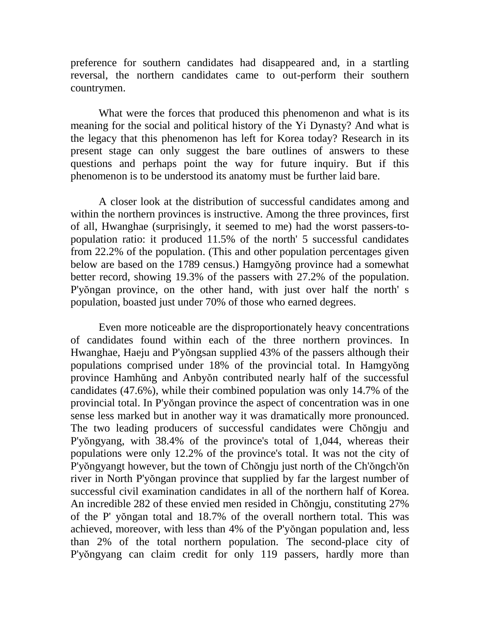preference for southern candidates had disappeared and, in a startling reversal, the northern candidates came to out-perform their southern countrymen.

What were the forces that produced this phenomenon and what is its meaning for the social and political history of the Yi Dynasty? And what is the legacy that this phenomenon has left for Korea today? Research in its present stage can only suggest the bare outlines of answers to these questions and perhaps point the way for future inquiry. But if this phenomenon is to be understood its anatomy must be further laid bare.

A closer look at the distribution of successful candidates among and within the northern provinces is instructive. Among the three provinces, first of all, Hwanghae (surprisingly, it seemed to me) had the worst passers-topopulation ratio: it produced 11.5% of the north' 5 successful candidates from 22.2% of the population. (This and other population percentages given below are based on the 1789 census.) Hamgyŏng province had a somewhat better record, showing 19.3% of the passers with 27.2% of the population. P'yŏngan province, on the other hand, with just over half the north' s population, boasted just under 70% of those who earned degrees.

Even more noticeable are the disproportionately heavy concentrations of candidates found within each of the three northern provinces. In Hwanghae, Haeju and P'yŏngsan supplied 43% of the passers although their populations comprised under 18% of the provincial total. In Hamgyŏng province Hamhŭng and Anbyŏn contributed nearly half of the successful candidates (47.6%), while their combined population was only 14.7% of the provincial total. In P'yŏngan province the aspect of concentration was in one sense less marked but in another way it was dramatically more pronounced. The two leading producers of successful candidates were Chŏngju and P'yŏngyang, with 38.4% of the province's total of 1,044, whereas their populations were only 12.2% of the province's total. It was not the city of P'yŏngyangt however, but the town of Chŏngju just north of the Ch'ŏngch'ŏn river in North P'yŏngan province that supplied by far the largest number of successful civil examination candidates in all of the northern half of Korea. An incredible 282 of these envied men resided in Chŏngju, constituting 27% of the P' yŏngan total and 18.7% of the overall northern total. This was achieved, moreover, with less than 4% of the P'yŏngan population and, less than 2% of the total northern population. The second-place city of P'yŏngyang can claim credit for only 119 passers, hardly more than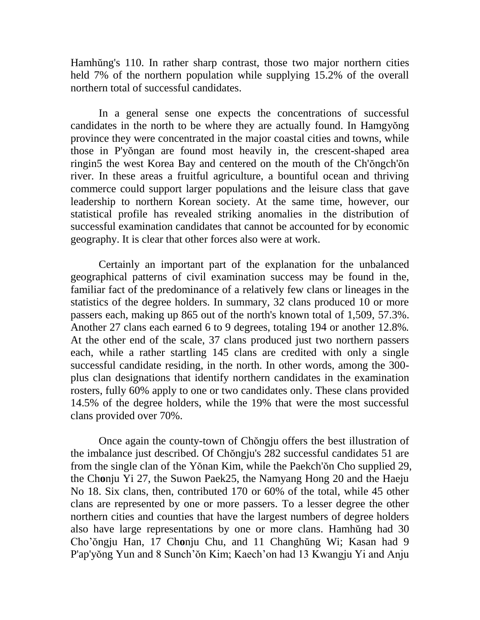Hamhŭng's 110. In rather sharp contrast, those two major northern cities held 7% of the northern population while supplying 15.2% of the overall northern total of successful candidates.

In a general sense one expects the concentrations of successful candidates in the north to be where they are actually found. In Hamgyŏng province they were concentrated in the major coastal cities and towns, while those in P'yŏngan are found most heavily in, the crescent-shaped area ringin5 the west Korea Bay and centered on the mouth of the Ch'ŏngch'ŏn river. In these areas a fruitful agriculture, a bountiful ocean and thriving commerce could support larger populations and the leisure class that gave leadership to northern Korean society. At the same time, however, our statistical profile has revealed striking anomalies in the distribution of successful examination candidates that cannot be accounted for by economic geography. It is clear that other forces also were at work.

Certainly an important part of the explanation for the unbalanced geographical patterns of civil examination success may be found in the, familiar fact of the predominance of a relatively few clans or lineages in the statistics of the degree holders. In summary, 32 clans produced 10 or more passers each, making up 865 out of the north's known total of 1,509, 57.3%. Another 27 clans each earned 6 to 9 degrees, totaling 194 or another 12.8%*.* At the other end of the scale, 37 clans produced just two northern passers each, while a rather startling 145 clans are credited with only a single successful candidate residing, in the north. In other words, among the 300 plus clan designations that identify northern candidates in the examination rosters, fully 60% apply to one or two candidates only. These clans provided 14.5% of the degree holders, while the 19% that were the most successful clans provided over 70%.

Once again the county-town of Chŏngju offers the best illustration of the imbalance just described. Of Chŏngju's 282 successful candidates 51 are from the single clan of the Yŏnan Kim, while the Paekch'ŏn Cho supplied 29, the Ch**o**nju Yi 27, the Suwon Paek25, the Namyang Hong 20 and the Haeju No 18. Six clans, then, contributed 170 or 60% of the total, while 45 other clans are represented by one or more passers. To a lesser degree the other northern cities and counties that have the largest numbers of degree holders also have large representations by one or more clans. Hamhŭng had 30 Cho'ŏngju Han, 17 Ch**o**nju Chu, and 11 Changhŭng Wi; Kasan had 9 P'ap'yŏng Yun and 8 Sunch'ŏn Kim; Kaech'on had 13 Kwangju Yi and Anju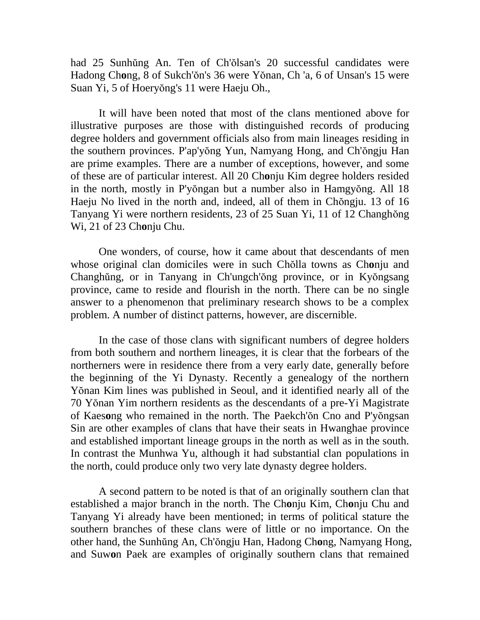had 25 Sunhŭng An. Ten of Ch'ŏlsan's 20 successful candidates were Hadong Ch**o**ng, 8 of Sukch'ŏn's 36 were Yŏnan, Ch 'a, 6 of Unsan's 15 were Suan Yi, 5 of Hoeryŏng's 11 were Haeju Oh.,

It will have been noted that most of the clans mentioned above for illustrative purposes are those with distinguished records of producing degree holders and government officials also from main lineages residing in the southern provinces. P'ap'yŏng Yun, Namyang Hong, and Ch'ŏngju Han are prime examples. There are a number of exceptions, however, and some of these are of particular interest. All 20 Ch**o**nju Kim degree holders resided in the north, mostly in P'yŏngan but a number also in Hamgyŏng. All 18 Haeju No lived in the north and, indeed, all of them in Chŏngju. 13 of 16 Tanyang Yi were northern residents, 23 of 25 Suan Yi, 11 of 12 Changhŏng Wi, 21 of 23 Ch**o**nju Chu.

One wonders, of course, how it came about that descendants of men whose original clan domiciles were in such Chŏlla towns as Ch**o**nju and Changhŭng, or in Tanyang in Ch'ungch'ŏng province, or in Kyŏngsang province, came to reside and flourish in the north. There can be no single answer to a phenomenon that preliminary research shows to be a complex problem. A number of distinct patterns, however, are discernible.

In the case of those clans with significant numbers of degree holders from both southern and northern lineages, it is clear that the forbears of the northerners were in residence there from a very early date, generally before the beginning of the Yi Dynasty. Recently a genealogy of the northern Yŏnan Kim lines was published in Seoul, and it identified nearly all of the 70 Yŏnan Yim northern residents as the descendants of a pre-Yi Magistrate of Kaes**o**ng who remained in the north. The Paekch'ŏn Cno and P'yŏngsan Sin are other examples of clans that have their seats in Hwanghae province and established important lineage groups in the north as well as in the south. In contrast the Munhwa Yu, although it had substantial clan populations in the north, could produce only two very late dynasty degree holders.

A second pattern to be noted is that of an originally southern clan that established a major branch in the north. The Ch**o**nju Kim, Ch**o**nju Chu and Tanyang Yi already have been mentioned; in terms of political stature the southern branches of these clans were of little or no importance. On the other hand, the Sunhŭng An, Ch'ŏngju Han, Hadong Ch**o**ng, Namyang Hong, and Suw**o**n Paek are examples of originally southern clans that remained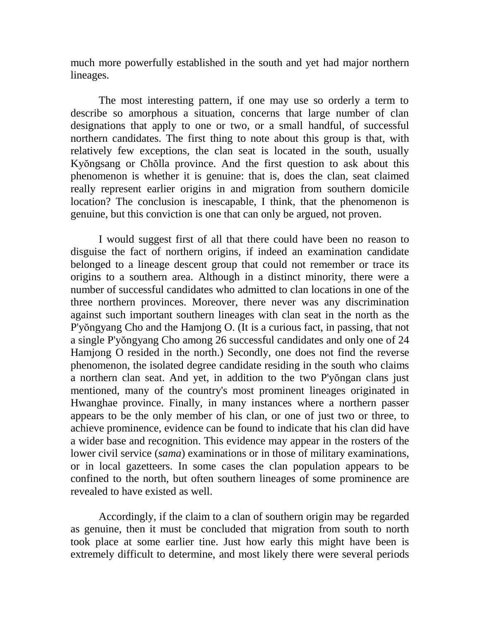much more powerfully established in the south and yet had major northern lineages.

The most interesting pattern, if one may use so orderly a term to describe so amorphous a situation, concerns that large number of clan designations that apply to one or two, or a small handful, of successful northern candidates. The first thing to note about this group is that, with relatively few exceptions, the clan seat is located in the south, usually Kyŏngsang or Chŏlla province. And the first question to ask about this phenomenon is whether it is genuine: that is, does the clan, seat claimed really represent earlier origins in and migration from southern domicile location? The conclusion is inescapable, I think, that the phenomenon is genuine, but this conviction is one that can only be argued, not proven.

I would suggest first of all that there could have been no reason to disguise the fact of northern origins, if indeed an examination candidate belonged to a lineage descent group that could not remember or trace its origins to a southern area. Although in a distinct minority, there were a number of successful candidates who admitted to clan locations in one of the three northern provinces. Moreover, there never was any discrimination against such important southern lineages with clan seat in the north as the P'yŏngyang Cho and the Hamjong O. (It is a curious fact, in passing, that not a single P'yŏngyang Cho among 26 successful candidates and only one of 24 Hamjong O resided in the north.) Secondly, one does not find the reverse phenomenon, the isolated degree candidate residing in the south who claims a northern clan seat. And yet, in addition to the two P'yŏngan clans just mentioned, many of the country's most prominent lineages originated in Hwanghae province. Finally, in many instances where a northern passer appears to be the only member of his clan, or one of just two or three, to achieve prominence, evidence can be found to indicate that his clan did have a wider base and recognition. This evidence may appear in the rosters of the lower civil service (*sama*) examinations or in those of military examinations, or in local gazetteers. In some cases the clan population appears to be confined to the north, but often southern lineages of some prominence are revealed to have existed as well.

Accordingly, if the claim to a clan of southern origin may be regarded as genuine, then it must be concluded that migration from south to north took place at some earlier tine. Just how early this might have been is extremely difficult to determine, and most likely there were several periods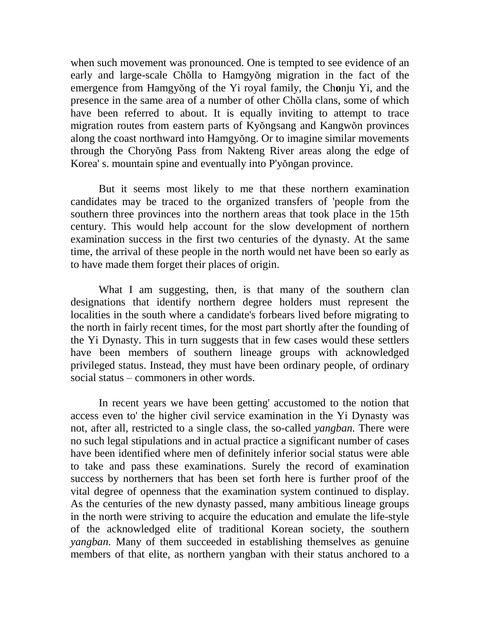when such movement was pronounced. One is tempted to see evidence of an early and large-scale Chŏlla to Hamgyŏng migration in the fact of the emergence from Hamgyŏng of the Yi royal family, the Ch**o**nju Yi, and the presence in the same area of a number of other Chŏlla clans, some of which have been referred to about. It is equally inviting to attempt to trace migration routes from eastern parts of Kyŏngsang and Kangwŏn provinces along the coast northward into Hamgyŏng. Or to imagine similar movements through the Choryŏng Pass from Nakteng River areas along the edge of Korea' s. mountain spine and eventually into P'yŏngan province.

But it seems most likely to me that these northern examination candidates may be traced to the organized transfers of 'people from the southern three provinces into the northern areas that took place in the 15th century. This would help account for the slow development of northern examination success in the first two centuries of the dynasty. At the same time, the arrival of these people in the north would net have been so early as to have made them forget their places of origin.

What I am suggesting, then, is that many of the southern clan designations that identify northern degree holders must represent the localities in the south where a candidate's forbears lived before migrating to the north in fairly recent times, for the most part shortly after the founding of the Yi Dynasty. This in turn suggests that in few cases would these settlers have been members of southern lineage groups with acknowledged privileged status. Instead, they must have been ordinary people, of ordinary social status – commoners in other words.

In recent years we have been getting' accustomed to the notion that access even to' the higher civil service examination in the Yi Dynasty was not, after all, restricted to a single class, the so-called *yangban*. There were no such legal stipulations and in actual practice a significant number of cases have been identified where men of definitely inferior social status were able to take and pass these examinations. Surely the record of examination success by northerners that has been set forth here is further proof of the vital degree of openness that the examination system continued to display. As the centuries of the new dynasty passed, many ambitious lineage groups in the north were striving to acquire the education and emulate the life-style of the acknowledged elite of traditional Korean society, the southern *yangban.* Many of them succeeded in establishing themselves as genuine members of that elite, as northern yangban with their status anchored to a